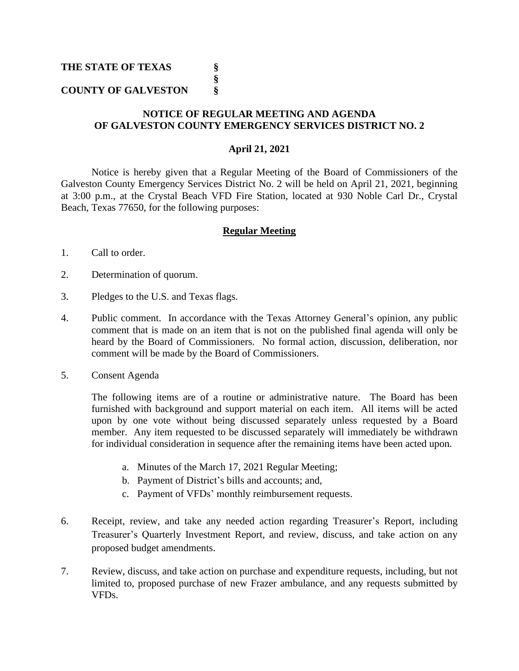## **THE STATE OF TEXAS §**

# **COUNTY OF GALVESTON §**

### **NOTICE OF REGULAR MEETING AND AGENDA OF GALVESTON COUNTY EMERGENCY SERVICES DISTRICT NO. 2**

**§**

#### **April 21, 2021**

Notice is hereby given that a Regular Meeting of the Board of Commissioners of the Galveston County Emergency Services District No. 2 will be held on April 21, 2021, beginning at 3:00 p.m., at the Crystal Beach VFD Fire Station, located at 930 Noble Carl Dr., Crystal Beach, Texas 77650, for the following purposes:

#### **Regular Meeting**

- 1. Call to order.
- 2. Determination of quorum.
- 3. Pledges to the U.S. and Texas flags.
- 4. Public comment. In accordance with the Texas Attorney General's opinion, any public comment that is made on an item that is not on the published final agenda will only be heard by the Board of Commissioners. No formal action, discussion, deliberation, nor comment will be made by the Board of Commissioners.
- 5. Consent Agenda

The following items are of a routine or administrative nature. The Board has been furnished with background and support material on each item. All items will be acted upon by one vote without being discussed separately unless requested by a Board member. Any item requested to be discussed separately will immediately be withdrawn for individual consideration in sequence after the remaining items have been acted upon.

- a. Minutes of the March 17, 2021 Regular Meeting;
- b. Payment of District's bills and accounts; and,
- c. Payment of VFDs' monthly reimbursement requests.
- 6. Receipt, review, and take any needed action regarding Treasurer's Report, including Treasurer's Quarterly Investment Report, and review, discuss, and take action on any proposed budget amendments.
- 7. Review, discuss, and take action on purchase and expenditure requests, including, but not limited to, proposed purchase of new Frazer ambulance, and any requests submitted by VFDs.